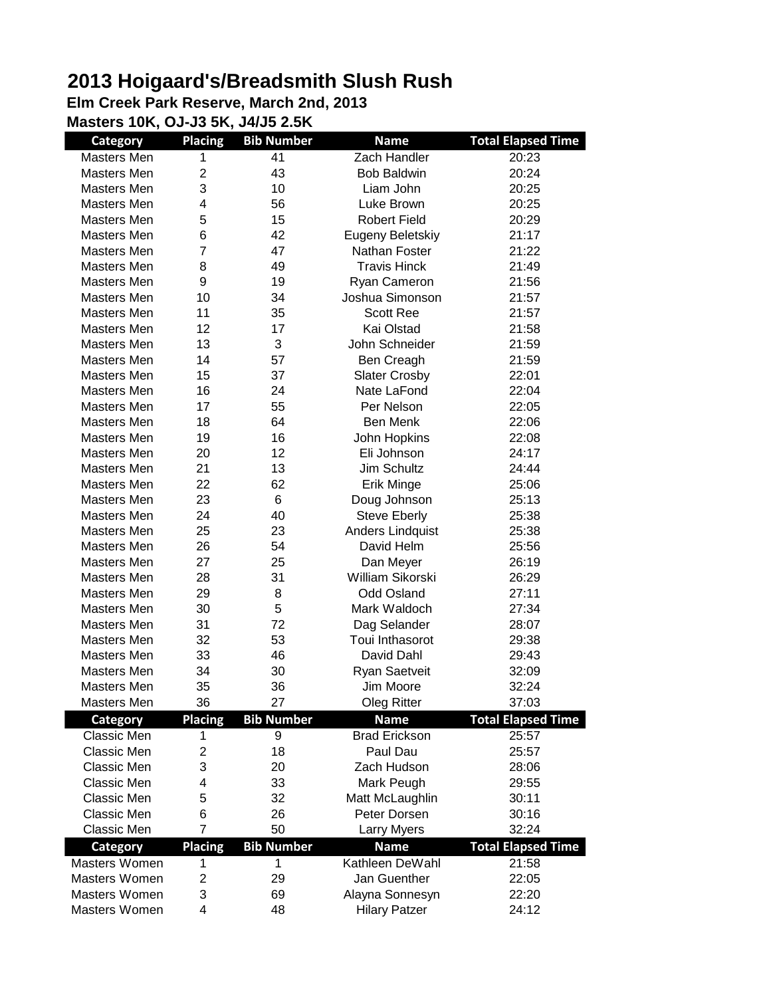## **2013 Hoigaard's/Breadsmith Slush Rush**

**Elm Creek Park Reserve, March 2nd, 2013 Masters 10K, OJ-J3 5K, J4/J5 2.5K**

**Category Placing Bib Number Name Total Elapsed Time** Masters Men 1 41 20:23 Masters Men  $2$  43 Bob Baldwin 20:24 Masters Men  $\begin{array}{ccc} 3 & 10 & \text{Liam John} \end{array}$  20:25 Masters Men 4 56 Luke Brown 20:25 Masters Men  $5$  15 Robert Field 20:29 Masters Men 6 42 Eugeny Beletskiy 21:17 Masters Men 7 47 Nathan Foster 21:22 Masters Men 8 49 Travis Hinck 21:49 Masters Men  $9$  19 Ryan Cameron 21:56 Masters Men 10 34 Joshua Simonson 21:57 Masters Men 11 35 Scott Ree 21:57 Masters Men 12 17 Kai Olstad 21:58 Masters Men 13 3 John Schneider 21:59 Masters Men 14 57 Ben Creagh 21:59 Masters Men  $15$  37 Slater Crosby 22:01 Masters Men 16 24 Nate LaFond 22:04 Masters Men 17 55 Per Nelson 22:05 Masters Men  $18$  64 Ben Menk 22:06 Masters Men 19 16 John Hopkins 22:08 Masters Men 20 12 Eli Johnson 24:17 Masters Men 21 13 Jim Schultz 24:44 Masters Men 22 62 Erik Minge 25:06 Masters Men  $23$  6 Doug Johnson 25:13 Masters Men  $24$  40 Steve Eberly 25:38 Masters Men 25 23 Anders Lindquist 25:38 Masters Men  $26$  54 David Helm 25:56 Masters Men 27 25 Dan Meyer 26:19 Masters Men 28 31 William Sikorski 26:29 Masters Men  $29$  8 Odd Osland 27:11 Masters Men 30 5 Mark Waldoch 27:34 Masters Men 31 72 Dag Selander 28:07 Masters Men 32 53 Toui Inthasorot 29:38 Masters Men 33 46 David Dahl 29:43 Masters Men 34 30 Ryan Saetveit 32:09 Masters Men  $35$   $36$  Jim Moore  $32:24$ Masters Men 36 27 Oleg Ritter 37:03 **Category Placing Bib Number Name Total Elapsed Time** Classic Men 1 9 Brad Erickson 25:57 Classic Men 2 18 Paul Dau 25:57 Classic Men 3 20 Zach Hudson 28:06 Classic Men 4 33 Mark Peugh 29:55 Classic Men 5 32 Matt McLaughlin 30:11 Classic Men 6 26 Peter Dorsen 30:16 Classic Men 7 50 Larry Myers 32:24 **Category Placing Bib Number Name Total Elapsed Time** Masters Women  $1$  1 1 Kathleen DeWahl 21:58 Masters Women 2 29 Jan Guenther 22:05 Masters Women 3 69 Alayna Sonnesyn 22:20 Masters Women  $4$  48 Hilary Patzer 24:12